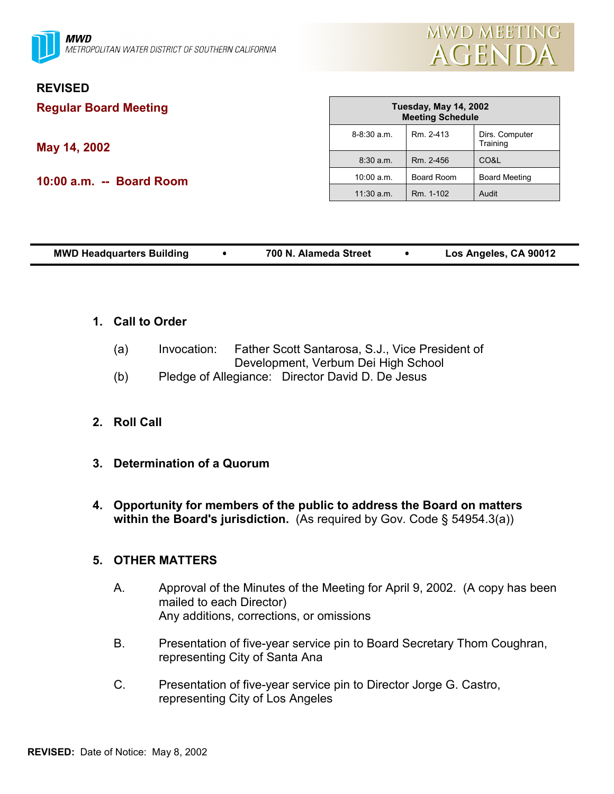

# **REVISED**

**Regular Board Meeting**

**May 14, 2002**

**10:00 a.m. -- Board Room**

| <b>Tuesday, May 14, 2002</b><br><b>Meeting Schedule</b> |            |                            |  |  |  |
|---------------------------------------------------------|------------|----------------------------|--|--|--|
| $8 - 8:30$ a.m.                                         | Rm. 2-413  | Dirs. Computer<br>Training |  |  |  |
| 8:30 a.m.                                               | Rm. 2-456  | CO&L                       |  |  |  |
| 10:00 a.m.                                              | Board Room | <b>Board Meeting</b>       |  |  |  |
| $11:30$ a.m.                                            | Rm. 1-102  | Audit                      |  |  |  |

| <b>MWD Headquarters Building</b> |  | 700 N. Alameda Street |  | Los Angeles, CA 90012 |
|----------------------------------|--|-----------------------|--|-----------------------|
|----------------------------------|--|-----------------------|--|-----------------------|

# **1. Call to Order**

- (a) Invocation: Father Scott Santarosa, S.J., Vice President of Development, Verbum Dei High School
- (b) Pledge of Allegiance: Director David D. De Jesus

# **2. Roll Call**

- **3. Determination of a Quorum**
- **4. Opportunity for members of the public to address the Board on matters within the Board's jurisdiction.** (As required by Gov. Code § 54954.3(a))

# **5. OTHER MATTERS**

- A. Approval of the Minutes of the Meeting for April 9, 2002. (A copy has been mailed to each Director) Any additions, corrections, or omissions
- B. Presentation of five-year service pin to Board Secretary Thom Coughran, representing City of Santa Ana
- C. Presentation of five-year service pin to Director Jorge G. Castro, representing City of Los Angeles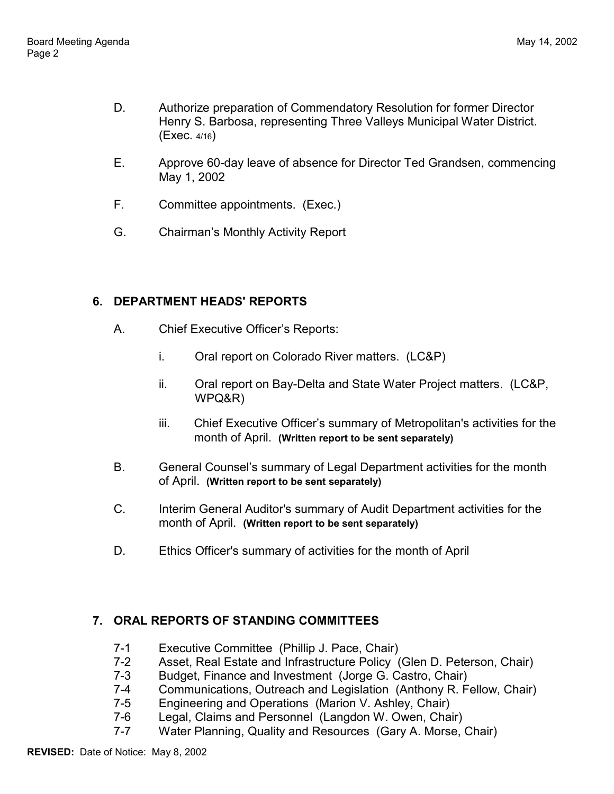- D. Authorize preparation of Commendatory Resolution for former Director Henry S. Barbosa, representing Three Valleys Municipal Water District. (Exec. 4/16)
- E. Approve 60-day leave of absence for Director Ted Grandsen, commencing May 1, 2002
- F. Committee appointments. (Exec.)
- G. Chairman's Monthly Activity Report

# **6. DEPARTMENT HEADS' REPORTS**

- A. Chief Executive Officer's Reports:
	- i. Oral report on Colorado River matters. (LC&P)
	- ii. Oral report on Bay-Delta and State Water Project matters. (LC&P, WPQ&R)
	- iii. Chief Executive Officer's summary of Metropolitan's activities for the month of April. **(Written report to be sent separately)**
- B. General Counsel's summary of Legal Department activities for the month of April. **(Written report to be sent separately)**
- C. Interim General Auditor's summary of Audit Department activities for the month of April. **(Written report to be sent separately)**
- D. Ethics Officer's summary of activities for the month of April

# **7. ORAL REPORTS OF STANDING COMMITTEES**

- 7-1 Executive Committee (Phillip J. Pace, Chair)
- 7-2 Asset, Real Estate and Infrastructure Policy (Glen D. Peterson, Chair)
- 7-3 Budget, Finance and Investment (Jorge G. Castro, Chair)
- 7-4 Communications, Outreach and Legislation (Anthony R. Fellow, Chair)
- 7-5 Engineering and Operations (Marion V. Ashley, Chair)
- 7-6 Legal, Claims and Personnel (Langdon W. Owen, Chair)
- 7-7 Water Planning, Quality and Resources (Gary A. Morse, Chair)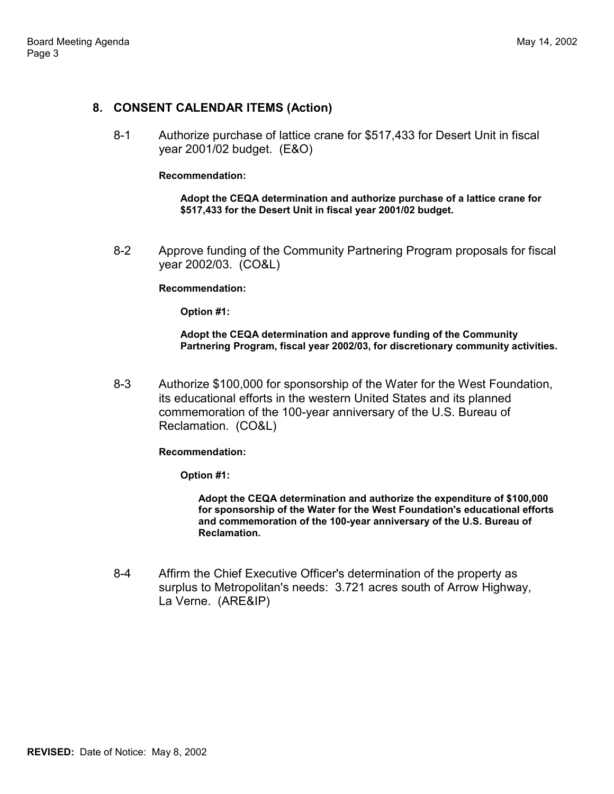### **8. CONSENT CALENDAR ITEMS (Action)**

8-1 Authorize purchase of lattice crane for \$517,433 for Desert Unit in fiscal year 2001/02 budget. (E&O)

#### **Recommendation:**

**Adopt the CEQA determination and authorize purchase of a lattice crane for \$517,433 for the Desert Unit in fiscal year 2001/02 budget.**

8-2 Approve funding of the Community Partnering Program proposals for fiscal year 2002/03. (CO&L)

#### **Recommendation:**

**Option #1:**

**Adopt the CEQA determination and approve funding of the Community Partnering Program, fiscal year 2002/03, for discretionary community activities.**

8-3 Authorize \$100,000 for sponsorship of the Water for the West Foundation, its educational efforts in the western United States and its planned commemoration of the 100-year anniversary of the U.S. Bureau of Reclamation. (CO&L)

#### **Recommendation:**

**Option #1:**

**Adopt the CEQA determination and authorize the expenditure of \$100,000 for sponsorship of the Water for the West Foundation's educational efforts and commemoration of the 100-year anniversary of the U.S. Bureau of Reclamation.**

8-4 Affirm the Chief Executive Officer's determination of the property as surplus to Metropolitan's needs: 3.721 acres south of Arrow Highway, La Verne. (ARE&IP)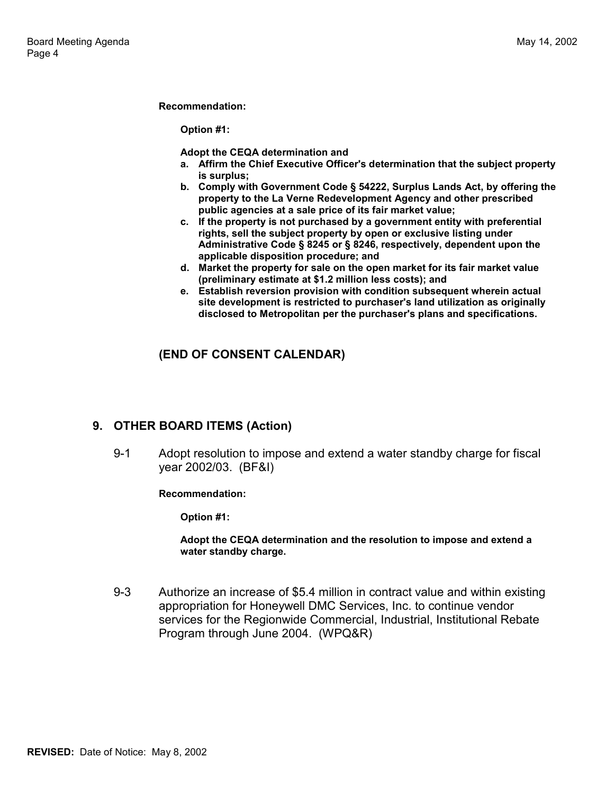#### **Recommendation:**

**Option #1:**

**Adopt the CEQA determination and**

- **a. Affirm the Chief Executive Officer's determination that the subject property is surplus;**
- **b. Comply with Government Code § 54222, Surplus Lands Act, by offering the property to the La Verne Redevelopment Agency and other prescribed public agencies at a sale price of its fair market value;**
- **c. If the property is not purchased by a government entity with preferential rights, sell the subject property by open or exclusive listing under Administrative Code § 8245 or § 8246, respectively, dependent upon the applicable disposition procedure; and**
- **d. Market the property for sale on the open market for its fair market value (preliminary estimate at \$1.2 million less costs); and**
- **e. Establish reversion provision with condition subsequent wherein actual site development is restricted to purchaser's land utilization as originally disclosed to Metropolitan per the purchaser's plans and specifications.**

## **(END OF CONSENT CALENDAR)**

### **9. OTHER BOARD ITEMS (Action)**

9-1 Adopt resolution to impose and extend a water standby charge for fiscal year 2002/03. (BF&I)

#### **Recommendation:**

**Option #1:**

**Adopt the CEQA determination and the resolution to impose and extend a water standby charge.**

9-3 Authorize an increase of \$5.4 million in contract value and within existing appropriation for Honeywell DMC Services, Inc. to continue vendor services for the Regionwide Commercial, Industrial, Institutional Rebate Program through June 2004. (WPQ&R)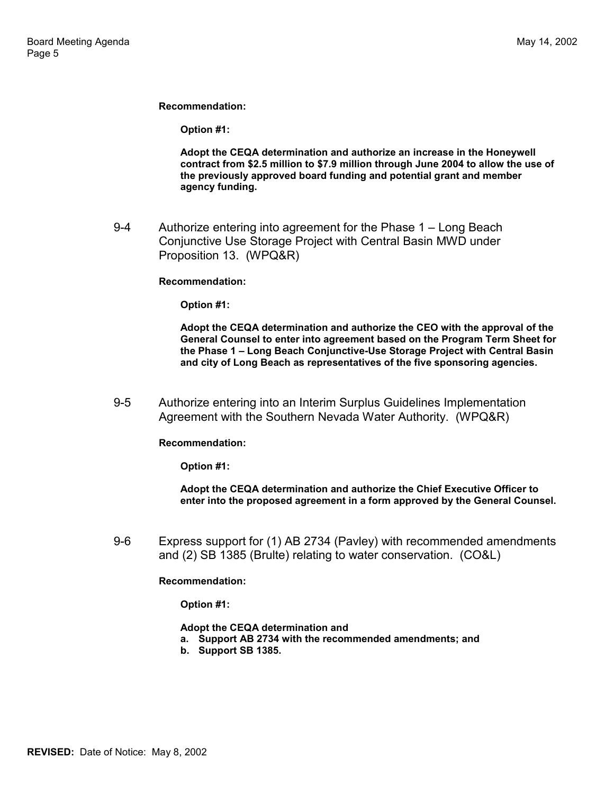**Recommendation:**

**Option #1:**

**Adopt the CEQA determination and authorize an increase in the Honeywell contract from \$2.5 million to \$7.9 million through June 2004 to allow the use of the previously approved board funding and potential grant and member agency funding.**

9-4 Authorize entering into agreement for the Phase 1 – Long Beach Conjunctive Use Storage Project with Central Basin MWD under Proposition 13. (WPQ&R)

#### **Recommendation:**

**Option #1:**

**Adopt the CEQA determination and authorize the CEO with the approval of the General Counsel to enter into agreement based on the Program Term Sheet for the Phase 1 – Long Beach Conjunctive-Use Storage Project with Central Basin and city of Long Beach as representatives of the five sponsoring agencies.**

9-5 Authorize entering into an Interim Surplus Guidelines Implementation Agreement with the Southern Nevada Water Authority. (WPQ&R)

**Recommendation:**

**Option #1:**

**Adopt the CEQA determination and authorize the Chief Executive Officer to enter into the proposed agreement in a form approved by the General Counsel.**

9-6 Express support for (1) AB 2734 (Pavley) with recommended amendments and (2) SB 1385 (Brulte) relating to water conservation. (CO&L)

**Recommendation:**

**Option #1:**

**Adopt the CEQA determination and**

- **a. Support AB 2734 with the recommended amendments; and**
- **b. Support SB 1385.**